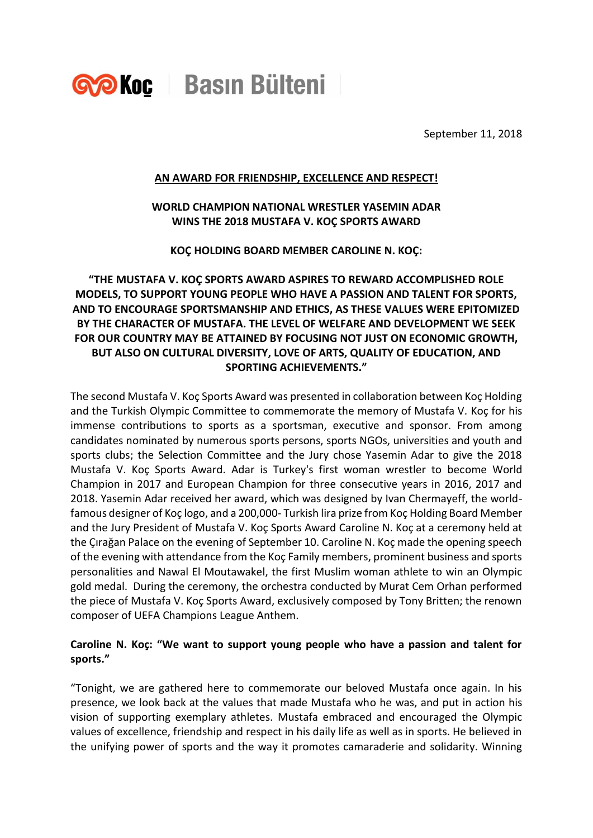

September 11, 2018

#### **AN AWARD FOR FRIENDSHIP, EXCELLENCE AND RESPECT!**

#### **WORLD CHAMPION NATIONAL WRESTLER YASEMIN ADAR WINS THE 2018 MUSTAFA V. KOÇ SPORTS AWARD**

**KOÇ HOLDING BOARD MEMBER CAROLINE N. KOÇ:**

# **"THE MUSTAFA V. KOÇ SPORTS AWARD ASPIRES TO REWARD ACCOMPLISHED ROLE MODELS, TO SUPPORT YOUNG PEOPLE WHO HAVE A PASSION AND TALENT FOR SPORTS, AND TO ENCOURAGE SPORTSMANSHIP AND ETHICS, AS THESE VALUES WERE EPITOMIZED BY THE CHARACTER OF MUSTAFA. THE LEVEL OF WELFARE AND DEVELOPMENT WE SEEK FOR OUR COUNTRY MAY BE ATTAINED BY FOCUSING NOT JUST ON ECONOMIC GROWTH, BUT ALSO ON CULTURAL DIVERSITY, LOVE OF ARTS, QUALITY OF EDUCATION, AND SPORTING ACHIEVEMENTS."**

The second Mustafa V. Koç Sports Award was presented in collaboration between Koç Holding and the Turkish Olympic Committee to commemorate the memory of Mustafa V. Koç for his immense contributions to sports as a sportsman, executive and sponsor. From among candidates nominated by numerous sports persons, sports NGOs, universities and youth and sports clubs; the Selection Committee and the Jury chose Yasemin Adar to give the 2018 Mustafa V. Koç Sports Award. Adar is Turkey's first woman wrestler to become World Champion in 2017 and European Champion for three consecutive years in 2016, 2017 and 2018. Yasemin Adar received her award, which was designed by Ivan Chermayeff, the worldfamous designer of Koç logo, and a 200,000- Turkish lira prize from Koç Holding Board Member and the Jury President of Mustafa V. Koç Sports Award Caroline N. Koç at a ceremony held at the Çırağan Palace on the evening of September 10. Caroline N. Koç made the opening speech of the evening with attendance from the Koç Family members, prominent business and sports personalities and Nawal El Moutawakel, the first Muslim woman athlete to win an Olympic gold medal. During the ceremony, the orchestra conducted by Murat Cem Orhan performed the piece of Mustafa V. Koç Sports Award, exclusively composed by Tony Britten; the renown composer of UEFA Champions League Anthem.

## **Caroline N. Koç: "We want to support young people who have a passion and talent for sports."**

"Tonight, we are gathered here to commemorate our beloved Mustafa once again. In his presence, we look back at the values that made Mustafa who he was, and put in action his vision of supporting exemplary athletes. Mustafa embraced and encouraged the Olympic values of excellence, friendship and respect in his daily life as well as in sports. He believed in the unifying power of sports and the way it promotes camaraderie and solidarity. Winning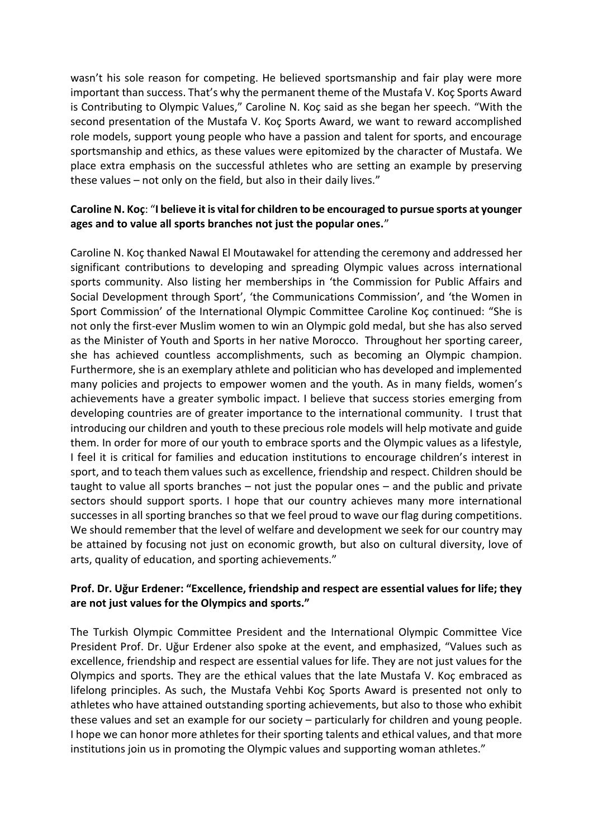wasn't his sole reason for competing. He believed sportsmanship and fair play were more important than success. That's why the permanent theme of the Mustafa V. Koç Sports Award is Contributing to Olympic Values," Caroline N. Koç said as she began her speech. "With the second presentation of the Mustafa V. Koç Sports Award, we want to reward accomplished role models, support young people who have a passion and talent for sports, and encourage sportsmanship and ethics, as these values were epitomized by the character of Mustafa. We place extra emphasis on the successful athletes who are setting an example by preserving these values – not only on the field, but also in their daily lives."

### **Caroline N. Koç**: "**I believe it is vital for children to be encouraged to pursue sports at younger ages and to value all sports branches not just the popular ones.**"

Caroline N. Koç thanked Nawal El Moutawakel for attending the ceremony and addressed her significant contributions to developing and spreading Olympic values across international sports community. Also listing her memberships in 'the Commission for Public Affairs and Social Development through Sport', 'the Communications Commission', and 'the Women in Sport Commission' of the International Olympic Committee Caroline Koç continued: "She is not only the first-ever Muslim women to win an Olympic gold medal, but she has also served as the Minister of Youth and Sports in her native Morocco. Throughout her sporting career, she has achieved countless accomplishments, such as becoming an Olympic champion. Furthermore, she is an exemplary athlete and politician who has developed and implemented many policies and projects to empower women and the youth. As in many fields, women's achievements have a greater symbolic impact. I believe that success stories emerging from developing countries are of greater importance to the international community. I trust that introducing our children and youth to these precious role models will help motivate and guide them. In order for more of our youth to embrace sports and the Olympic values as a lifestyle, I feel it is critical for families and education institutions to encourage children's interest in sport, and to teach them values such as excellence, friendship and respect. Children should be taught to value all sports branches – not just the popular ones – and the public and private sectors should support sports. I hope that our country achieves many more international successes in all sporting branches so that we feel proud to wave our flag during competitions. We should remember that the level of welfare and development we seek for our country may be attained by focusing not just on economic growth, but also on cultural diversity, love of arts, quality of education, and sporting achievements."

#### **Prof. Dr. Uğur Erdener: "Excellence, friendship and respect are essential values for life; they are not just values for the Olympics and sports."**

The Turkish Olympic Committee President and the International Olympic Committee Vice President Prof. Dr. Uğur Erdener also spoke at the event, and emphasized, "Values such as excellence, friendship and respect are essential values for life. They are not just values for the Olympics and sports. They are the ethical values that the late Mustafa V. Koç embraced as lifelong principles. As such, the Mustafa Vehbi Koç Sports Award is presented not only to athletes who have attained outstanding sporting achievements, but also to those who exhibit these values and set an example for our society – particularly for children and young people. I hope we can honor more athletes for their sporting talents and ethical values, and that more institutions join us in promoting the Olympic values and supporting woman athletes."